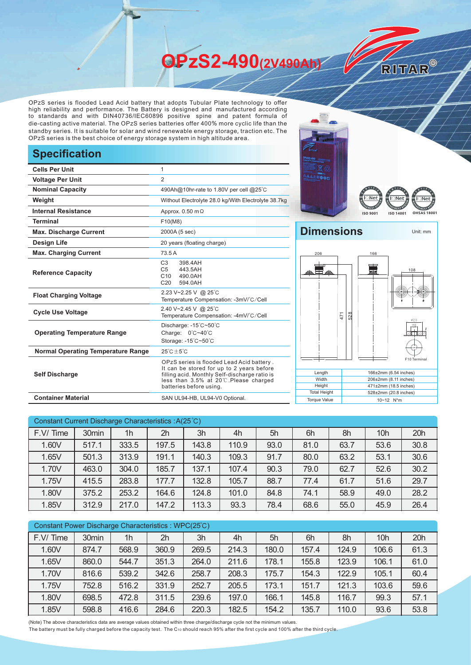**OPzS2-490(2V490Ah)** 

OPzS series is flooded Lead Acid battery that adopts Tubular Plate technology to offer high reliability and performance. The Battery is designed and manufactured according to standards and with DIN40736/IEC60896 positive spine and patent formula of die-casting active material. The OPzS series batteries offer 400% more cyclic life than the standby series. It is suitable for solar and wind renewable energy storage, traction etc. The OPzS series is the best choice of energy storage system in high altitude area.

## **Specification**

| <b>Cells Per Unit</b>                     | $\mathbf{1}$                                                                                                                                                                                               |  |  |  |  |  |
|-------------------------------------------|------------------------------------------------------------------------------------------------------------------------------------------------------------------------------------------------------------|--|--|--|--|--|
| <b>Voltage Per Unit</b>                   | $\overline{2}$                                                                                                                                                                                             |  |  |  |  |  |
| <b>Nominal Capacity</b>                   | 490Ah@10hr-rate to 1.80V per cell @25°C                                                                                                                                                                    |  |  |  |  |  |
| Weight                                    | Without Electrolyte 28.0 kg/With Electrolyte 38.7kg                                                                                                                                                        |  |  |  |  |  |
| <b>Internal Resistance</b>                | Approx. $0.50 \text{ m}\Omega$                                                                                                                                                                             |  |  |  |  |  |
| <b>Terminal</b>                           | F10(M8)                                                                                                                                                                                                    |  |  |  |  |  |
| <b>Max. Discharge Current</b>             | 2000A (5 sec)                                                                                                                                                                                              |  |  |  |  |  |
| Design Life                               | 20 years (floating charge)                                                                                                                                                                                 |  |  |  |  |  |
| <b>Max. Charging Current</b>              | 73.5 A                                                                                                                                                                                                     |  |  |  |  |  |
| <b>Reference Capacity</b>                 | C <sub>3</sub><br>398.4AH<br>C <sub>5</sub><br>443.5AH<br>C10<br>490.0AH<br>C <sub>20</sub><br>594.0AH                                                                                                     |  |  |  |  |  |
| <b>Float Charging Voltage</b>             | 2.23 V~2.25 V @ 25°C<br>Temperature Compensation: -3mV/°C/Cell                                                                                                                                             |  |  |  |  |  |
| <b>Cycle Use Voltage</b>                  | 2.40 V~2.45 V @ 25°C<br>Temperature Compensation: -4mV/°C/Cell                                                                                                                                             |  |  |  |  |  |
| <b>Operating Temperature Range</b>        | Discharge: -15°C~50°C<br>Charge: 0°C~40°C<br>Storage: -15°C~50°C                                                                                                                                           |  |  |  |  |  |
| <b>Normal Operating Temperature Range</b> | $25^{\circ}$ C + 5 $^{\circ}$ C                                                                                                                                                                            |  |  |  |  |  |
| <b>Self Discharge</b>                     | OPzS series is flooded Lead Acid battery.<br>It can be stored for up to 2 years before<br>filling acid. Monthly Self-discharge ratio is<br>less than 3.5% at 20℃.Please charged<br>batteries before using. |  |  |  |  |  |
| <b>Container Material</b>                 | SAN UL94-HB, UL94-V0 Optional.                                                                                                                                                                             |  |  |  |  |  |





RITAR®

## **Dimensions** Unit: mm



| Constant Current Discharge Characteristics: A(25°C) |                   |                |       |       |       |      |      |      |                 |      |
|-----------------------------------------------------|-------------------|----------------|-------|-------|-------|------|------|------|-----------------|------|
| F.V/Time                                            | 30 <sub>min</sub> | 1 <sub>h</sub> | 2h    | 3h    | 4h    | 5h   | 6h   | 8h   | 10 <sub>h</sub> | 20h  |
| 1.60V                                               | 517.1             | 333.5          | 197.5 | 143.8 | 110.9 | 93.0 | 81.0 | 63.7 | 53.6            | 30.8 |
| 1.65V                                               | 501.3             | 313.9          | 191.1 | 140.3 | 109.3 | 91.7 | 80.0 | 63.2 | 53.1            | 30.6 |
| 1.70V                                               | 463.0             | 304.0          | 185.7 | 137.1 | 107.4 | 90.3 | 79.0 | 62.7 | 52.6            | 30.2 |
| 1.75V                                               | 415.5             | 283.8          | 177.7 | 132.8 | 105.7 | 88.7 | 77.4 | 61.7 | 51.6            | 29.7 |
| 1.80V                                               | 375.2             | 253.2          | 164.6 | 124.8 | 101.0 | 84.8 | 74.1 | 58.9 | 49.0            | 28.2 |
| 1.85V                                               | 312.9             | 217.0          | 147.2 | 113.3 | 93.3  | 78.4 | 68.6 | 55.0 | 45.9            | 26.4 |

| Constant Power Discharge Characteristics : WPC(25°C) |       |       |       |       |       |       |       |       |                 |      |
|------------------------------------------------------|-------|-------|-------|-------|-------|-------|-------|-------|-----------------|------|
| F.V/Time                                             | 30min | 1h    | 2h    | 3h    | 4h    | 5h    | 6h    | 8h    | 10 <sub>h</sub> | 20h  |
| 1.60V                                                | 874.7 | 568.9 | 360.9 | 269.5 | 214.3 | 180.0 | 157.4 | 124.9 | 106.6           | 61.3 |
| 1.65V                                                | 860.0 | 544.7 | 351.3 | 264.0 | 211.6 | 178.1 | 155.8 | 123.9 | 106.1           | 61.0 |
| 1.70V                                                | 816.6 | 539.2 | 342.6 | 258.7 | 208.3 | 175.7 | 154.3 | 122.9 | 105.1           | 60.4 |
| 1.75V                                                | 752.8 | 516.2 | 331.9 | 252.7 | 205.5 | 173.1 | 151.7 | 121.3 | 103.6           | 59.6 |
| 1.80V                                                | 698.5 | 472.8 | 311.5 | 239.6 | 197.0 | 166.1 | 145.8 | 116.7 | 99.3            | 57.1 |
| 1.85V                                                | 598.8 | 416.6 | 284.6 | 220.3 | 182.5 | 154.2 | 135.7 | 110.0 | 93.6            | 53.8 |

(Note) The above characteristics data are average values obtained within three charge/discharge cycle not the minimum values.

The battery must be fully charged before the capacity test. The C10 should reach 95% after the first cycle and 100% after the third cycle.